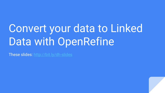# Convert your data to Linked Data with OpenRefine

These slides:<http://bit.ly/dh-slides>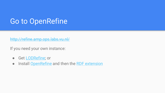### Go to OpenRefine

<http://refine.amp.ops.labs.vu.nl/>

If you need your own instance:

- Get [LODRefine](https://github.com/sparkica/LODRefine); or
- Install [OpenRefine](http://openrefine.org/download.html) and then the [RDF extension](https://github.com/stkenny/grefine-rdf-extension/blob/orefine/README.md)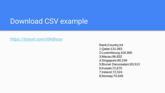### Download CSV example

#### https://tinyurl.com/ld4dhcsv

Rank;Country;Int 1;Qatar;131,063 2;Luxembourg;104,906 3;Macau;96,832 4;Singapore;90,249 5;Brunei Darussalam;83,513 6;Kuwait;72,675 7;Ireland;72,524 8;Norway;70,645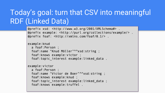# Today's goal: turn that CSV into meaningful RDF (Linked Data)

```
@prefix xsd: <http://www.w3.org/2001/XMLSchema#>
@prefix example: <http://purl.org/collections/example/>.
@prefix foaf: <http://xmlns.com/foaf/0.1/>.
```

```
example: knud
  a foaf:Person :
  foaf:name "Knud Möller"^^xsd:string ;
  foaf: knows example: victor ;
  foaf:topic interest example:linked data.
```

```
example:victor
  a foaf:Person ;
  foaf:name "Victor de Boer"^^xsd:string ;
  foaf: knows example: knud :
  foaf:topic interest example:linked data ;
  foaf: knows example: truffel.
```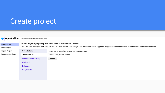# Create project

| OpenRefine                            | A power tool for working with messy data.                                                                                                                                                                                                                   |                                                      |  |  |  |  |
|---------------------------------------|-------------------------------------------------------------------------------------------------------------------------------------------------------------------------------------------------------------------------------------------------------------|------------------------------------------------------|--|--|--|--|
| <b>Create Project</b><br>Open Project | Create a project by importing data. What kinds of data files can I import?<br>TSV, CSV, *SV, Excel (.xls and .xlsx), JSON, XML, RDF as XML, and Google Data documents are all supported. Support for other formats can be added with OpenRefine extensions. |                                                      |  |  |  |  |
| Import Project                        | Get data from                                                                                                                                                                                                                                               | Locate one or more files on your computer to upload: |  |  |  |  |
| Language Settings                     | <b>This Computer</b>                                                                                                                                                                                                                                        | Choose Files   No file chosen                        |  |  |  |  |
|                                       | Web Addresses (URLs)                                                                                                                                                                                                                                        | Next »                                               |  |  |  |  |
|                                       | Clipboard                                                                                                                                                                                                                                                   |                                                      |  |  |  |  |
|                                       | Database                                                                                                                                                                                                                                                    |                                                      |  |  |  |  |
|                                       | Google Data                                                                                                                                                                                                                                                 |                                                      |  |  |  |  |
|                                       |                                                                                                                                                                                                                                                             |                                                      |  |  |  |  |
|                                       |                                                                                                                                                                                                                                                             |                                                      |  |  |  |  |
|                                       |                                                                                                                                                                                                                                                             |                                                      |  |  |  |  |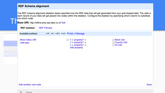#### **RDF Schema alignment**

The RDF schema alignment skeleton below specifies how the RDF data that will get generated from your grid-shaped data. The cells in each record of your data will get placed into nodes within the skeleton. Configure the skeleton by specifying which column to substitute into which node.<br>**Base URI:** http://refine.amp.ops.labs.vu.nl/ Edit



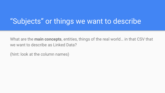### "Subjects" or things we want to describe

What are the **main concepts**, entities, things of the real world… in that CSV that we want to describe as Linked Data?

(hint: look at the column names)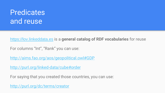## **Predicates** and reuse

[https://lov.linkeddata.es](https://lov.linkeddata.es/) is a **general catalog of RDF vocabularies** for reuse

For columns "Int", "Rank" you can use:

<http://aims.fao.org/aos/geopolitical.owl#GDP>

<http://purl.org/linked-data/cube#order>

For saying that you created those countries, you can use:

<http://purl.org/dc/terms/creator>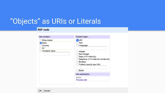### "Objects" as URIs or Literals

#### **RDF** node

| Use content                           | Content used                                                                                                                    |
|---------------------------------------|---------------------------------------------------------------------------------------------------------------------------------|
| (Row index)<br>Rank<br>Country<br>Int | <b>D</b> URI<br>Text<br>Language                                                                                                |
| Constant value                        | Integer<br>Non-integer<br>Date (YYYY-MM-DD)<br>Date/time (YYYY-MM-DD HH:MM:SS)<br>Boolean<br>Custom (specify type URI)<br>Blank |
|                                       | Use expression                                                                                                                  |
|                                       | value<br><b>Preview edit</b>                                                                                                    |

OK Cancel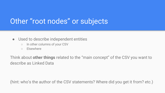### Other "root nodes" or subjects

- Used to describe independent entities
	- In other columns of your CSV
	- Elsewhere

Think about **other things** related to the "main concept" of the CSV you want to describe as Linked Data

(hint: who's the author of the CSV statements? Where did you get it from? etc.)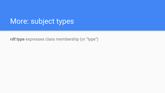### More: subject types

**rdf:type** expresses class membership (or "type")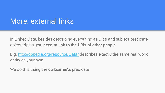### More: external links

In Linked Data, besides describing everything as URIs and subject-predicateobject triples, **you need to link to the URIs of other people**

E.g. <http://dbpedia.org/resource/Qatar> describes exactly the same real world entity as your own

We do this using the **owl:sameAs** predicate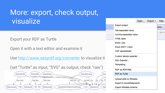### More: export, check output, visualize

Export your RDF as Turtle

Open it with a text editor and examine it

Use<http://www.easyrdf.org/converter> to visualize it

(set "Turtle" as input, "SVG" as output, check "raw")



|                                                                                        | Open        | Export $\star$ | Help |  |  |  |
|----------------------------------------------------------------------------------------|-------------|----------------|------|--|--|--|
| Export project                                                                         | data $\sim$ |                |      |  |  |  |
| Tab-separated value<br>Comma-separated value<br>HTML table                             |             |                |      |  |  |  |
| Excel (.xls)<br>Excel 2007+ (.xlsx)<br>ODF spreadsheet                                 |             |                |      |  |  |  |
| Custom tabular exporter<br>SQL Exporter<br>Templating                                  |             |                |      |  |  |  |
| RDF as RDF/XML<br><b>RDF</b> as Turtle                                                 |             |                |      |  |  |  |
| Upload edits to Wikidata<br><b>Export to QuickStatements</b><br>Export Wikidata schema |             |                |      |  |  |  |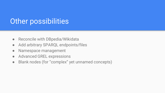### Other possibilities

- Reconcile with DBpedia/Wikidata
- Add arbitrary SPARQL endpoints/files
- Namespace management
- Advanced GREL expressions
- Blank nodes (for "complex" yet unnamed concepts)